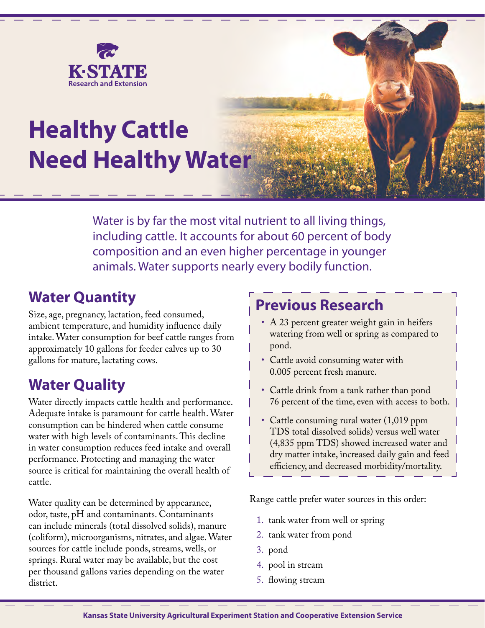

# **Healthy Cattle Need Healthy Water**

Water is by far the most vital nutrient to all living things, including cattle. It accounts for about 60 percent of body composition and an even higher percentage in younger animals. Water supports nearly every bodily function.

#### **Water Quantity**

Size, age, pregnancy, lactation, feed consumed, ambient temperature, and humidity influence daily intake. Water consumption for beef cattle ranges from approximately 10 gallons for feeder calves up to 30 gallons for mature, lactating cows.

#### **Water Quality**

Water directly impacts cattle health and performance. Adequate intake is paramount for cattle health. Water consumption can be hindered when cattle consume water with high levels of contaminants. This decline in water consumption reduces feed intake and overall performance. Protecting and managing the water source is critical for maintaining the overall health of cattle.

Water quality can be determined by appearance, odor, taste, pH and contaminants. Contaminants can include minerals (total dissolved solids), manure (coliform), microorganisms, nitrates, and algae. Water sources for cattle include ponds, streams, wells, or springs. Rural water may be available, but the cost per thousand gallons varies depending on the water district.

#### **Previous Research**

- A 23 percent greater weight gain in heifers watering from well or spring as compared to pond.
- Cattle avoid consuming water with 0.005 percent fresh manure.
- Cattle drink from a tank rather than pond 76 percent of the time, even with access to both.
- Cattle consuming rural water (1,019 ppm TDS total dissolved solids) versus well water (4,835 ppm TDS) showed increased water and dry matter intake, increased daily gain and feed efficiency, and decreased morbidity/mortality.

Range cattle prefer water sources in this order:

- 1. tank water from well or spring
- 2. tank water from pond
- 3. pond
- 4. pool in stream
- 5. flowing stream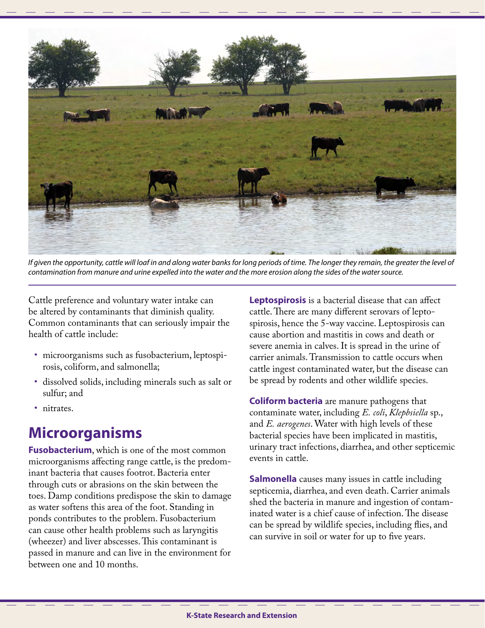

If given the opportunity, cattle will loaf in and along water banks for long periods of time. The longer they remain, the greater the level of *contamination from manure and urine expelled into the water and the more erosion along the sides of the water source.* 

Cattle preference and voluntary water intake can be altered by contaminants that diminish quality. Common contaminants that can seriously impair the health of cattle include:

- microorganisms such as fusobacterium, leptospirosis, coliform, and salmonella;
- dissolved solids, including minerals such as salt or sulfur; and
- nitrates.

## **Microorganisms**

**Fusobacterium**, which is one of the most common microorganisms affecting range cattle, is the predominant bacteria that causes footrot. Bacteria enter through cuts or abrasions on the skin between the toes. Damp conditions predispose the skin to damage as water softens this area of the foot. Standing in ponds contributes to the problem. Fusobacterium can cause other health problems such as laryngitis (wheezer) and liver abscesses. This contaminant is passed in manure and can live in the environment for between one and 10 months.

**Leptospirosis** is a bacterial disease that can affect cattle. There are many different serovars of leptospirosis, hence the 5-way vaccine. Leptospirosis can cause abortion and mastitis in cows and death or severe anemia in calves. It is spread in the urine of carrier animals. Transmission to cattle occurs when cattle ingest contaminated water, but the disease can be spread by rodents and other wildlife species.

**Coliform bacteria** are manure pathogens that contaminate water, including *E. coli*, *Klepbsiella* sp., and *E. aerogenes*. Water with high levels of these bacterial species have been implicated in mastitis, urinary tract infections, diarrhea, and other septicemic events in cattle.

**Salmonella** causes many issues in cattle including septicemia, diarrhea, and even death. Carrier animals shed the bacteria in manure and ingestion of contaminated water is a chief cause of infection. The disease can be spread by wildlife species, including flies, and can survive in soil or water for up to five years.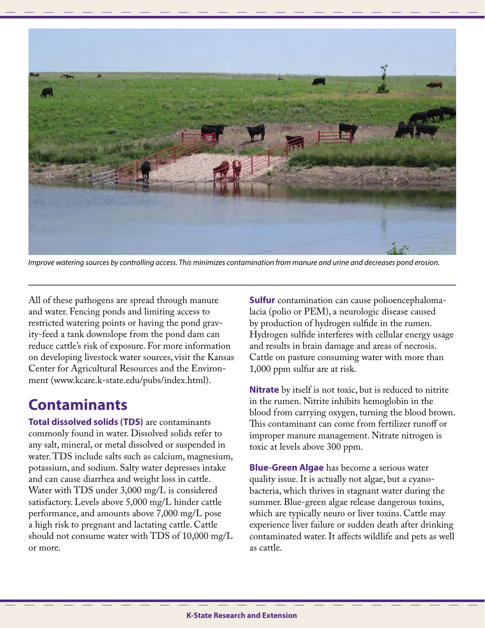

*Improve watering sources by controlling access. This minimizes contamination from manure and urine and decreases pond erosion.*

All of these pathogens are spread through manure and water. Fencing ponds and limiting access to restricted watering points or having the pond gravity-feed a tank downslope from the pond dam can reduce cattle's risk of exposure. For more information on developing livestock water sources, visit the Kansas Center for Agricultural Resources and the Environment (www.kcare.k-state.edu/pubs/index.html).

#### **Contaminants**

**Total dissolved solids (TDS)** are contaminants commonly found in water. Dissolved solids refer to any salt, mineral, or metal dissolved or suspended in water. TDS include salts such as calcium, magnesium, potassium, and sodium. Salty water depresses intake and can cause diarrhea and weight loss in cattle. Water with TDS under 3,000 mg/L is considered satisfactory. Levels above 5,000 mg/L hinder cattle performance, and amounts above 7,000 mg/L pose a high risk to pregnant and lactating cattle. Cattle should not consume water with TDS of 10,000 mg/L or more.

**Sulfur** contamination can cause polioencephalomalacia (polio or PEM), a neurologic disease caused by production of hydrogen sulfide in the rumen. Hydrogen sulfide interferes with cellular energy usage and results in brain damage and areas of necrosis. Cattle on pasture consuming water with more than 1,000 ppm sulfur are at risk.

**Nitrate** by itself is not toxic, but is reduced to nitrite in the rumen. Nitrite inhibits hemoglobin in the blood from carrying oxygen, turning the blood brown. This contaminant can come from fertilizer runoff or improper manure management. Nitrate nitrogen is toxic at levels above 300 ppm.

**Blue-Green Algae** has become a serious water quality issue. It is actually not algae, but a cyanobacteria, which thrives in stagnant water during the summer. Blue-green algae release dangerous toxins, which are typically neuro or liver toxins. Cattle may experience liver failure or sudden death after drinking contaminated water. It affects wildlife and pets as well as cattle.